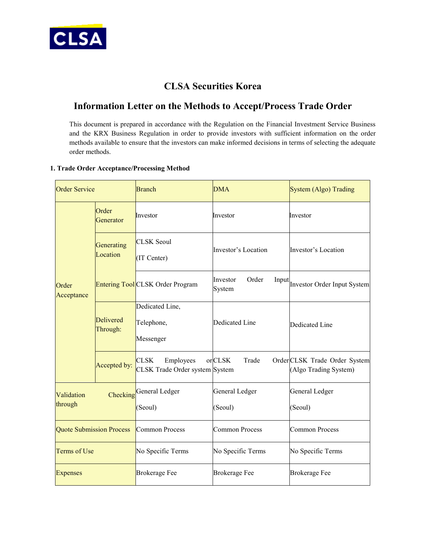

## **CLSA Securities Korea**

## **Information Letter on the Methods to Accept/Process Trade Order**

This document is prepared in accordance with the Regulation on the Financial Investment Service Business and the KRX Business Regulation in order to provide investors with sufficient information on the order methods available to ensure that the investors can make informed decisions in terms of selecting the adequate order methods.

## **1. Trade Order Acceptance/Processing Method**

| <b>Order Service</b>            |                        | <b>Branch</b>                                              | <b>DMA</b>                           | System (Algo) Trading                                  |
|---------------------------------|------------------------|------------------------------------------------------------|--------------------------------------|--------------------------------------------------------|
| Order<br>Acceptance             | Order<br>Generator     | Investor                                                   | Investor                             | Investor                                               |
|                                 | Generating<br>Location | <b>CLSK Seoul</b><br>(IT Center)                           | Investor's Location                  | Investor's Location                                    |
|                                 |                        | <b>Entering Tool CLSK Order Program</b>                    | Order<br>Investor<br>Input<br>System | <b>Investor Order Input System</b>                     |
|                                 | Delivered<br>Through:  | Dedicated Line,<br>Telephone,<br>Messenger                 | Dedicated Line                       | Dedicated Line                                         |
|                                 | Accepted by:           | <b>CLSK</b><br>Employees<br>CLSK Trade Order system System | orCLSK<br>Trade                      | Order CLSK Trade Order System<br>(Algo Trading System) |
| Validation<br>through           |                        | Checking General Ledger<br>(Seoul)                         | General Ledger<br>(Seoul)            | General Ledger<br>(Seoul)                              |
| <b>Quote Submission Process</b> |                        | Common Process                                             | <b>Common Process</b>                | <b>Common Process</b>                                  |
| Terms of Use                    |                        | No Specific Terms                                          | No Specific Terms                    | No Specific Terms                                      |
| <b>Expenses</b>                 |                        | <b>Brokerage Fee</b>                                       | <b>Brokerage Fee</b>                 | <b>Brokerage Fee</b>                                   |